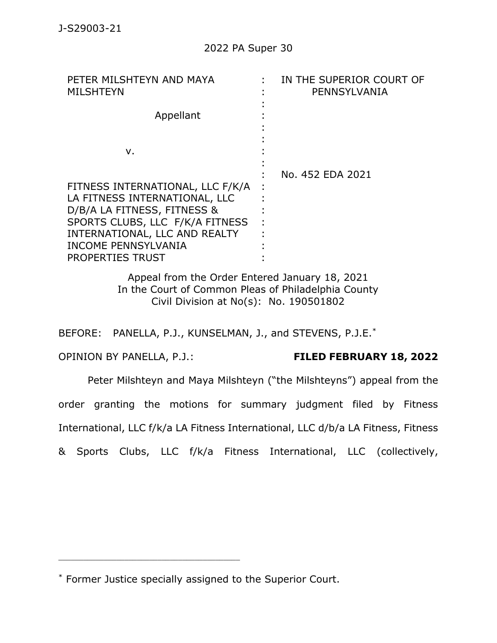| PETER MILSHTEYN AND MAYA<br><b>MILSHTEYN</b> | IN THE SUPERIOR COURT OF<br>PENNSYLVANIA |
|----------------------------------------------|------------------------------------------|
| Appellant                                    |                                          |
| ν.                                           |                                          |
|                                              | No. 452 EDA 2021                         |
| FITNESS INTERNATIONAL, LLC F/K/A             |                                          |
| LA FITNESS INTERNATIONAL, LLC                |                                          |
| D/B/A LA FITNESS, FITNESS &                  |                                          |
| SPORTS CLUBS, LLC F/K/A FITNESS              |                                          |
| INTERNATIONAL, LLC AND REALTY                |                                          |
| <b>INCOME PENNSYLVANIA</b>                   |                                          |
| <b>PROPERTIES TRUST</b>                      |                                          |

Appeal from the Order Entered January 18, 2021 In the Court of Common Pleas of Philadelphia County Civil Division at No(s): No. 190501802

BEFORE: PANELLA, P.J., KUNSELMAN, J., and STEVENS, P.J.E.\*

## OPINION BY PANELLA, P.J.: **FILED FEBRUARY 18, 2022**

Peter Milshteyn and Maya Milshteyn ("the Milshteyns") appeal from the order granting the motions for summary judgment filed by Fitness International, LLC f/k/a LA Fitness International, LLC d/b/a LA Fitness, Fitness & Sports Clubs, LLC f/k/a Fitness International, LLC (collectively,

<sup>\*</sup> Former Justice specially assigned to the Superior Court.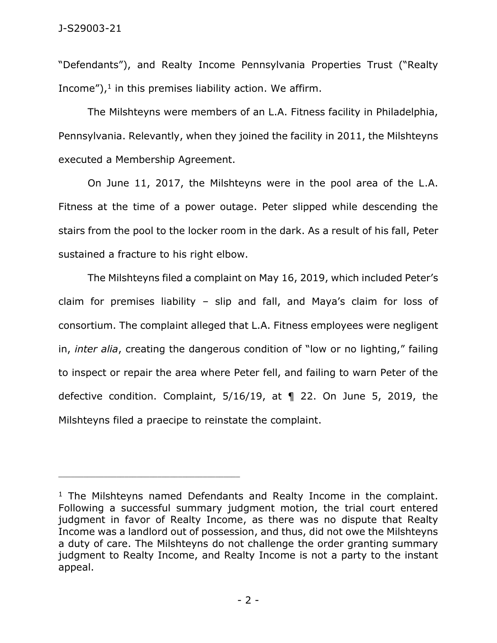"Defendants"), and Realty Income Pennsylvania Properties Trust ("Realty Income"), $<sup>1</sup>$  in this premises liability action. We affirm.</sup>

The Milshteyns were members of an L.A. Fitness facility in Philadelphia, Pennsylvania. Relevantly, when they joined the facility in 2011, the Milshteyns executed a Membership Agreement.

On June 11, 2017, the Milshteyns were in the pool area of the L.A. Fitness at the time of a power outage. Peter slipped while descending the stairs from the pool to the locker room in the dark. As a result of his fall, Peter sustained a fracture to his right elbow.

The Milshteyns filed a complaint on May 16, 2019, which included Peter's claim for premises liability – slip and fall, and Maya's claim for loss of consortium. The complaint alleged that L.A. Fitness employees were negligent in, *inter alia*, creating the dangerous condition of "low or no lighting," failing to inspect or repair the area where Peter fell, and failing to warn Peter of the defective condition. Complaint, 5/16/19, at ¶ 22. On June 5, 2019, the Milshteyns filed a praecipe to reinstate the complaint.

 $1$  The Milshteyns named Defendants and Realty Income in the complaint. Following a successful summary judgment motion, the trial court entered judgment in favor of Realty Income, as there was no dispute that Realty Income was a landlord out of possession, and thus, did not owe the Milshteyns a duty of care. The Milshteyns do not challenge the order granting summary judgment to Realty Income, and Realty Income is not a party to the instant appeal.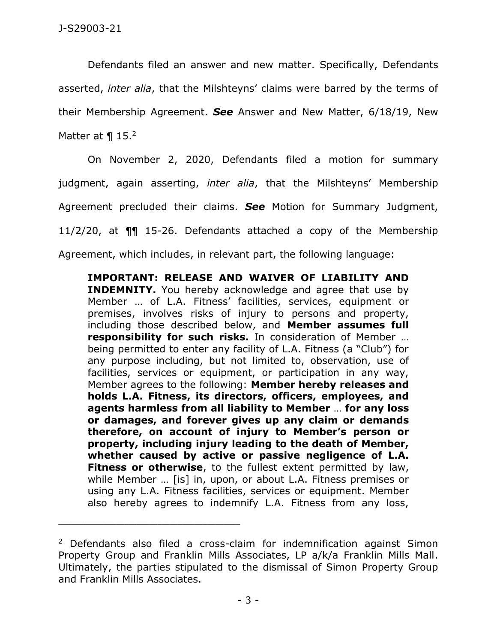Defendants filed an answer and new matter. Specifically, Defendants asserted, *inter alia*, that the Milshteyns' claims were barred by the terms of their Membership Agreement. *See* Answer and New Matter, 6/18/19, New Matter at  $\P$  15.<sup>2</sup>

On November 2, 2020, Defendants filed a motion for summary judgment, again asserting, *inter alia*, that the Milshteyns' Membership Agreement precluded their claims. *See* Motion for Summary Judgment, 11/2/20, at ¶¶ 15-26. Defendants attached a copy of the Membership Agreement, which includes, in relevant part, the following language:

**IMPORTANT: RELEASE AND WAIVER OF LIABILITY AND INDEMNITY.** You hereby acknowledge and agree that use by Member … of L.A. Fitness' facilities, services, equipment or premises, involves risks of injury to persons and property, including those described below, and **Member assumes full responsibility for such risks.** In consideration of Member … being permitted to enter any facility of L.A. Fitness (a "Club") for any purpose including, but not limited to, observation, use of facilities, services or equipment, or participation in any way, Member agrees to the following: **Member hereby releases and holds L.A. Fitness, its directors, officers, employees, and agents harmless from all liability to Member** … **for any loss or damages, and forever gives up any claim or demands therefore, on account of injury to Member's person or property, including injury leading to the death of Member, whether caused by active or passive negligence of L.A. Fitness or otherwise**, to the fullest extent permitted by law, while Member … [is] in, upon, or about L.A. Fitness premises or using any L.A. Fitness facilities, services or equipment. Member also hereby agrees to indemnify L.A. Fitness from any loss,

<sup>&</sup>lt;sup>2</sup> Defendants also filed a cross-claim for indemnification against Simon Property Group and Franklin Mills Associates, LP a/k/a Franklin Mills Mall. Ultimately, the parties stipulated to the dismissal of Simon Property Group and Franklin Mills Associates.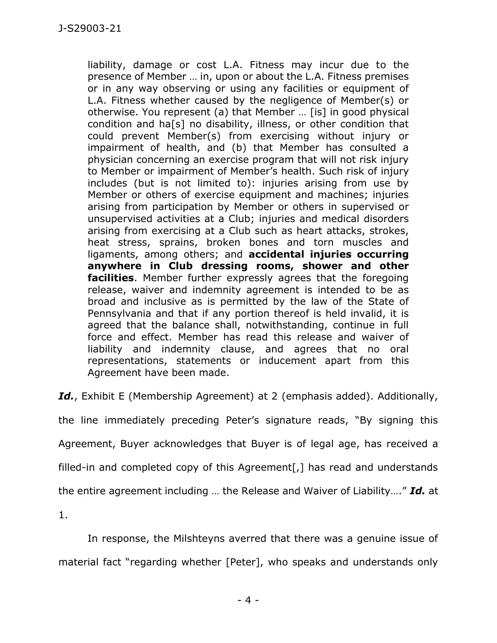liability, damage or cost L.A. Fitness may incur due to the presence of Member … in, upon or about the L.A. Fitness premises or in any way observing or using any facilities or equipment of L.A. Fitness whether caused by the negligence of Member(s) or otherwise. You represent (a) that Member … [is] in good physical condition and ha[s] no disability, illness, or other condition that could prevent Member(s) from exercising without injury or impairment of health, and (b) that Member has consulted a physician concerning an exercise program that will not risk injury to Member or impairment of Member's health. Such risk of injury includes (but is not limited to): injuries arising from use by Member or others of exercise equipment and machines; injuries arising from participation by Member or others in supervised or unsupervised activities at a Club; injuries and medical disorders arising from exercising at a Club such as heart attacks, strokes, heat stress, sprains, broken bones and torn muscles and ligaments, among others; and **accidental injuries occurring anywhere in Club dressing rooms, shower and other facilities**. Member further expressly agrees that the foregoing release, waiver and indemnity agreement is intended to be as broad and inclusive as is permitted by the law of the State of Pennsylvania and that if any portion thereof is held invalid, it is agreed that the balance shall, notwithstanding, continue in full force and effect. Member has read this release and waiver of liability and indemnity clause, and agrees that no oral representations, statements or inducement apart from this Agreement have been made.

*Id.*, Exhibit E (Membership Agreement) at 2 (emphasis added). Additionally,

the line immediately preceding Peter's signature reads, "By signing this Agreement, Buyer acknowledges that Buyer is of legal age, has received a filled-in and completed copy of this Agreement<sup>[</sup>,] has read and understands the entire agreement including … the Release and Waiver of Liability…." *Id.* at

1.

In response, the Milshteyns averred that there was a genuine issue of material fact "regarding whether [Peter], who speaks and understands only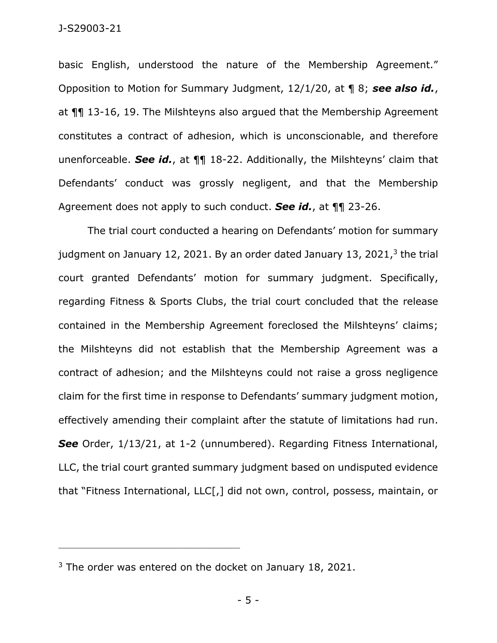## J-S29003-21

basic English, understood the nature of the Membership Agreement." Opposition to Motion for Summary Judgment, 12/1/20, at ¶ 8; *see also id.*, at ¶¶ 13-16, 19. The Milshteyns also argued that the Membership Agreement constitutes a contract of adhesion, which is unconscionable, and therefore unenforceable. *See id.*, at ¶¶ 18-22. Additionally, the Milshteyns' claim that Defendants' conduct was grossly negligent, and that the Membership Agreement does not apply to such conduct. *See id.*, at ¶¶ 23-26.

The trial court conducted a hearing on Defendants' motion for summary judgment on January 12, 2021. By an order dated January 13, 2021,<sup>3</sup> the trial court granted Defendants' motion for summary judgment. Specifically, regarding Fitness & Sports Clubs, the trial court concluded that the release contained in the Membership Agreement foreclosed the Milshteyns' claims; the Milshteyns did not establish that the Membership Agreement was a contract of adhesion; and the Milshteyns could not raise a gross negligence claim for the first time in response to Defendants' summary judgment motion, effectively amending their complaint after the statute of limitations had run. *See* Order, 1/13/21, at 1-2 (unnumbered). Regarding Fitness International, LLC, the trial court granted summary judgment based on undisputed evidence that "Fitness International, LLC[,] did not own, control, possess, maintain, or

<sup>&</sup>lt;sup>3</sup> The order was entered on the docket on January 18, 2021.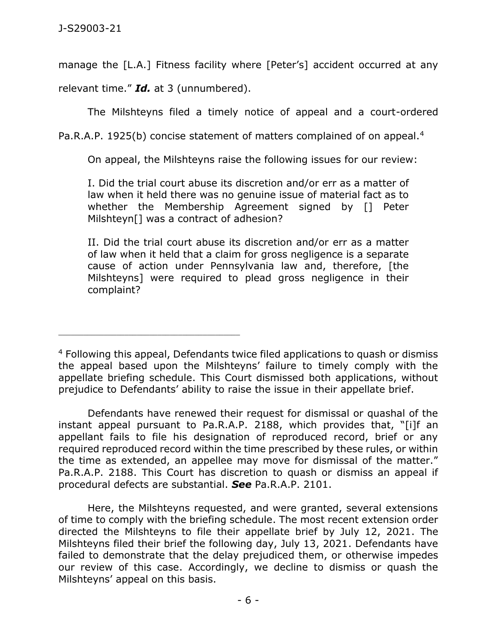manage the [L.A.] Fitness facility where [Peter's] accident occurred at any

relevant time." *Id.* at 3 (unnumbered).

\_\_\_\_\_\_\_\_\_\_\_\_\_\_\_\_\_\_\_\_\_\_\_\_\_\_\_\_\_\_\_\_\_\_\_\_\_\_\_\_\_\_\_\_

The Milshteyns filed a timely notice of appeal and a court-ordered

Pa.R.A.P. 1925(b) concise statement of matters complained of on appeal.<sup>4</sup>

On appeal, the Milshteyns raise the following issues for our review:

I. Did the trial court abuse its discretion and/or err as a matter of law when it held there was no genuine issue of material fact as to whether the Membership Agreement signed by [] Peter Milshteyn[] was a contract of adhesion?

II. Did the trial court abuse its discretion and/or err as a matter of law when it held that a claim for gross negligence is a separate cause of action under Pennsylvania law and, therefore, [the Milshteyns] were required to plead gross negligence in their complaint?

Defendants have renewed their request for dismissal or quashal of the instant appeal pursuant to Pa.R.A.P. 2188, which provides that, "[i]f an appellant fails to file his designation of reproduced record, brief or any required reproduced record within the time prescribed by these rules, or within the time as extended, an appellee may move for dismissal of the matter." Pa.R.A.P. 2188. This Court has discretion to quash or dismiss an appeal if procedural defects are substantial. *See* Pa.R.A.P. 2101.

Here, the Milshteyns requested, and were granted, several extensions of time to comply with the briefing schedule. The most recent extension order directed the Milshteyns to file their appellate brief by July 12, 2021. The Milshteyns filed their brief the following day, July 13, 2021. Defendants have failed to demonstrate that the delay prejudiced them, or otherwise impedes our review of this case. Accordingly, we decline to dismiss or quash the Milshteyns' appeal on this basis.

<sup>&</sup>lt;sup>4</sup> Following this appeal, Defendants twice filed applications to quash or dismiss the appeal based upon the Milshteyns' failure to timely comply with the appellate briefing schedule. This Court dismissed both applications, without prejudice to Defendants' ability to raise the issue in their appellate brief.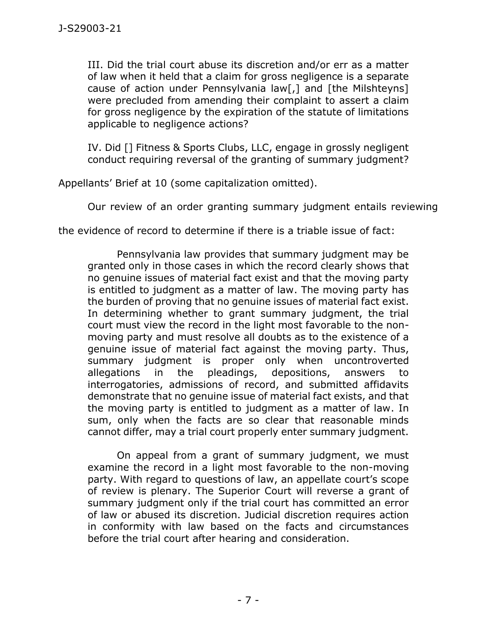III. Did the trial court abuse its discretion and/or err as a matter of law when it held that a claim for gross negligence is a separate cause of action under Pennsylvania law[,] and [the Milshteyns] were precluded from amending their complaint to assert a claim for gross negligence by the expiration of the statute of limitations applicable to negligence actions?

IV. Did [] Fitness & Sports Clubs, LLC, engage in grossly negligent conduct requiring reversal of the granting of summary judgment?

Appellants' Brief at 10 (some capitalization omitted).

Our review of an order granting summary judgment entails reviewing

the evidence of record to determine if there is a triable issue of fact:

Pennsylvania law provides that summary judgment may be granted only in those cases in which the record clearly shows that no genuine issues of material fact exist and that the moving party is entitled to judgment as a matter of law. The moving party has the burden of proving that no genuine issues of material fact exist. In determining whether to grant summary judgment, the trial court must view the record in the light most favorable to the nonmoving party and must resolve all doubts as to the existence of a genuine issue of material fact against the moving party. Thus, summary judgment is proper only when uncontroverted allegations in the pleadings, depositions, answers to interrogatories, admissions of record, and submitted affidavits demonstrate that no genuine issue of material fact exists, and that the moving party is entitled to judgment as a matter of law. In sum, only when the facts are so clear that reasonable minds cannot differ, may a trial court properly enter summary judgment.

On appeal from a grant of summary judgment, we must examine the record in a light most favorable to the non-moving party. With regard to questions of law, an appellate court's scope of review is plenary. The Superior Court will reverse a grant of summary judgment only if the trial court has committed an error of law or abused its discretion. Judicial discretion requires action in conformity with law based on the facts and circumstances before the trial court after hearing and consideration.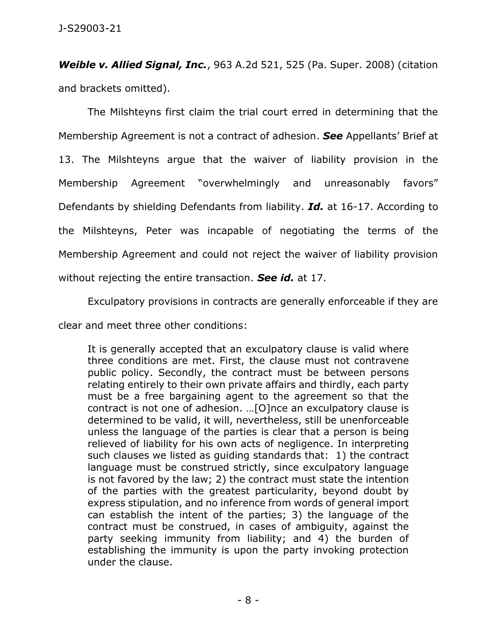*Weible v. Allied Signal, Inc.*, 963 A.2d 521, 525 (Pa. Super. 2008) (citation and brackets omitted).

The Milshteyns first claim the trial court erred in determining that the Membership Agreement is not a contract of adhesion. *See* Appellants' Brief at 13. The Milshteyns argue that the waiver of liability provision in the Membership Agreement "overwhelmingly and unreasonably favors" Defendants by shielding Defendants from liability. *Id.* at 16-17. According to the Milshteyns, Peter was incapable of negotiating the terms of the Membership Agreement and could not reject the waiver of liability provision without rejecting the entire transaction. *See id.* at 17.

Exculpatory provisions in contracts are generally enforceable if they are clear and meet three other conditions:

It is generally accepted that an exculpatory clause is valid where three conditions are met. First, the clause must not contravene public policy. Secondly, the contract must be between persons relating entirely to their own private affairs and thirdly, each party must be a free bargaining agent to the agreement so that the contract is not one of adhesion. …[O]nce an exculpatory clause is determined to be valid, it will, nevertheless, still be unenforceable unless the language of the parties is clear that a person is being relieved of liability for his own acts of negligence. In interpreting such clauses we listed as guiding standards that: 1) the contract language must be construed strictly, since exculpatory language is not favored by the law; 2) the contract must state the intention of the parties with the greatest particularity, beyond doubt by express stipulation, and no inference from words of general import can establish the intent of the parties; 3) the language of the contract must be construed, in cases of ambiguity, against the party seeking immunity from liability; and 4) the burden of establishing the immunity is upon the party invoking protection under the clause.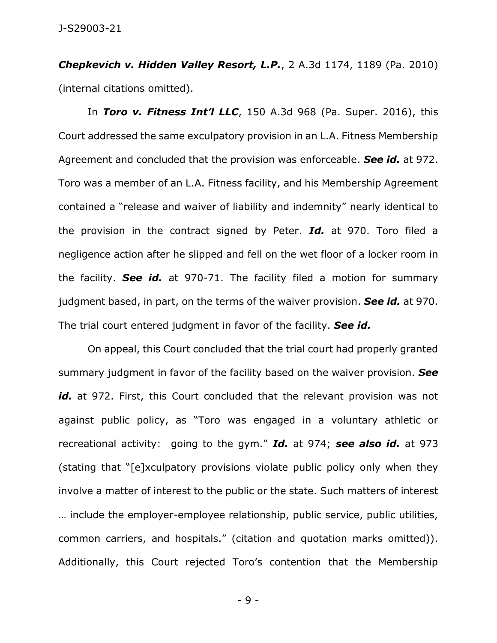*Chepkevich v. Hidden Valley Resort, L.P.*, 2 A.3d 1174, 1189 (Pa. 2010) (internal citations omitted).

In *Toro v. Fitness Int'l LLC*, 150 A.3d 968 (Pa. Super. 2016), this Court addressed the same exculpatory provision in an L.A. Fitness Membership Agreement and concluded that the provision was enforceable. *See id.* at 972. Toro was a member of an L.A. Fitness facility, and his Membership Agreement contained a "release and waiver of liability and indemnity" nearly identical to the provision in the contract signed by Peter. *Id.* at 970. Toro filed a negligence action after he slipped and fell on the wet floor of a locker room in the facility. *See id.* at 970-71. The facility filed a motion for summary judgment based, in part, on the terms of the waiver provision. *See id.* at 970. The trial court entered judgment in favor of the facility. *See id.*

On appeal, this Court concluded that the trial court had properly granted summary judgment in favor of the facility based on the waiver provision. *See*  id. at 972. First, this Court concluded that the relevant provision was not against public policy, as "Toro was engaged in a voluntary athletic or recreational activity: going to the gym." *Id.* at 974; *see also id.* at 973 (stating that "[e]xculpatory provisions violate public policy only when they involve a matter of interest to the public or the state. Such matters of interest … include the employer-employee relationship, public service, public utilities, common carriers, and hospitals." (citation and quotation marks omitted)). Additionally, this Court rejected Toro's contention that the Membership

- 9 -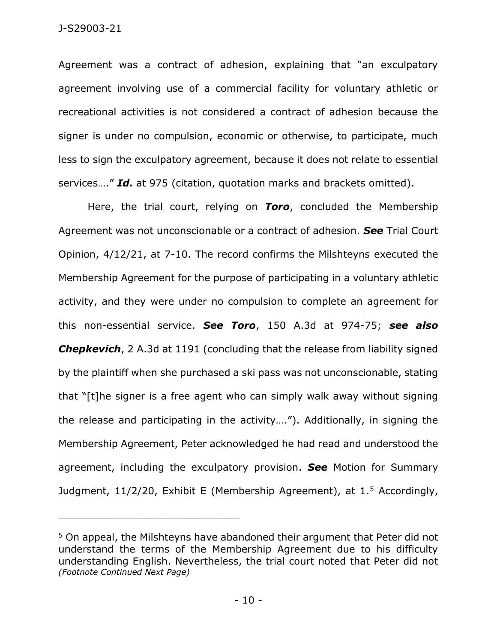Agreement was a contract of adhesion, explaining that "an exculpatory agreement involving use of a commercial facility for voluntary athletic or recreational activities is not considered a contract of adhesion because the signer is under no compulsion, economic or otherwise, to participate, much less to sign the exculpatory agreement, because it does not relate to essential services…." *Id.* at 975 (citation, quotation marks and brackets omitted).

Here, the trial court, relying on *Toro*, concluded the Membership Agreement was not unconscionable or a contract of adhesion. *See* Trial Court Opinion, 4/12/21, at 7-10. The record confirms the Milshteyns executed the Membership Agreement for the purpose of participating in a voluntary athletic activity, and they were under no compulsion to complete an agreement for this non-essential service. *See Toro*, 150 A.3d at 974-75; *see also*  **Chepkevich**, 2 A.3d at 1191 (concluding that the release from liability signed by the plaintiff when she purchased a ski pass was not unconscionable, stating that "[t]he signer is a free agent who can simply walk away without signing the release and participating in the activity…."). Additionally, in signing the Membership Agreement, Peter acknowledged he had read and understood the agreement, including the exculpatory provision. *See* Motion for Summary Judgment,  $11/2/20$ , Exhibit E (Membership Agreement), at  $1.5$  Accordingly,

<sup>5</sup> On appeal, the Milshteyns have abandoned their argument that Peter did not understand the terms of the Membership Agreement due to his difficulty understanding English. Nevertheless, the trial court noted that Peter did not *(Footnote Continued Next Page)*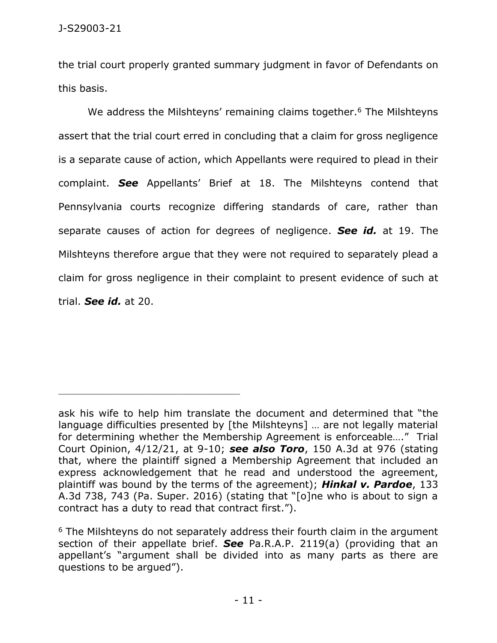the trial court properly granted summary judgment in favor of Defendants on this basis.

We address the Milshteyns' remaining claims together.<sup>6</sup> The Milshteyns assert that the trial court erred in concluding that a claim for gross negligence is a separate cause of action, which Appellants were required to plead in their complaint. *See* Appellants' Brief at 18. The Milshteyns contend that Pennsylvania courts recognize differing standards of care, rather than separate causes of action for degrees of negligence. *See id.* at 19. The Milshteyns therefore argue that they were not required to separately plead a claim for gross negligence in their complaint to present evidence of such at trial. *See id.* at 20.

ask his wife to help him translate the document and determined that "the language difficulties presented by [the Milshteyns] … are not legally material for determining whether the Membership Agreement is enforceable…." Trial Court Opinion, 4/12/21, at 9-10; *see also Toro*, 150 A.3d at 976 (stating that, where the plaintiff signed a Membership Agreement that included an express acknowledgement that he read and understood the agreement, plaintiff was bound by the terms of the agreement); *Hinkal v. Pardoe*, 133 A.3d 738, 743 (Pa. Super. 2016) (stating that "[o]ne who is about to sign a contract has a duty to read that contract first.").

<sup>&</sup>lt;sup>6</sup> The Milshteyns do not separately address their fourth claim in the argument section of their appellate brief. *See* Pa.R.A.P. 2119(a) (providing that an appellant's "argument shall be divided into as many parts as there are questions to be argued").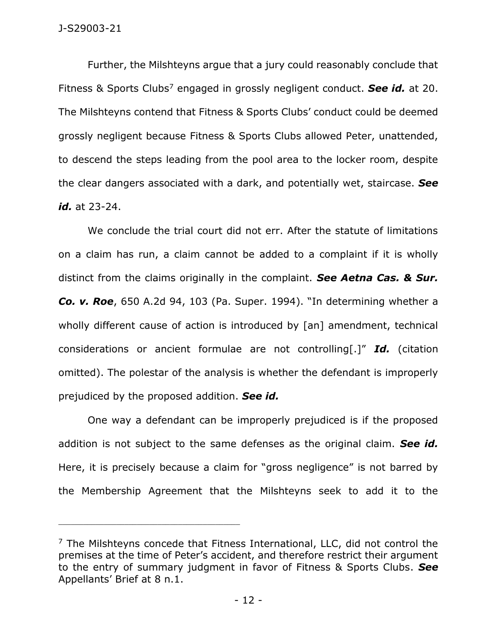Further, the Milshteyns argue that a jury could reasonably conclude that Fitness & Sports Clubs<sup>7</sup> engaged in grossly negligent conduct. See id. at 20. The Milshteyns contend that Fitness & Sports Clubs' conduct could be deemed grossly negligent because Fitness & Sports Clubs allowed Peter, unattended, to descend the steps leading from the pool area to the locker room, despite the clear dangers associated with a dark, and potentially wet, staircase. *See id.* at 23-24.

We conclude the trial court did not err. After the statute of limitations on a claim has run, a claim cannot be added to a complaint if it is wholly distinct from the claims originally in the complaint. *See Aetna Cas. & Sur. Co. v. Roe*, 650 A.2d 94, 103 (Pa. Super. 1994). "In determining whether a wholly different cause of action is introduced by [an] amendment, technical considerations or ancient formulae are not controlling[.]" *Id.* (citation omitted). The polestar of the analysis is whether the defendant is improperly prejudiced by the proposed addition. *See id.*

One way a defendant can be improperly prejudiced is if the proposed addition is not subject to the same defenses as the original claim. *See id.* Here, it is precisely because a claim for "gross negligence" is not barred by the Membership Agreement that the Milshteyns seek to add it to the

 $<sup>7</sup>$  The Milshteyns concede that Fitness International, LLC, did not control the</sup> premises at the time of Peter's accident, and therefore restrict their argument to the entry of summary judgment in favor of Fitness & Sports Clubs. *See*  Appellants' Brief at 8 n.1.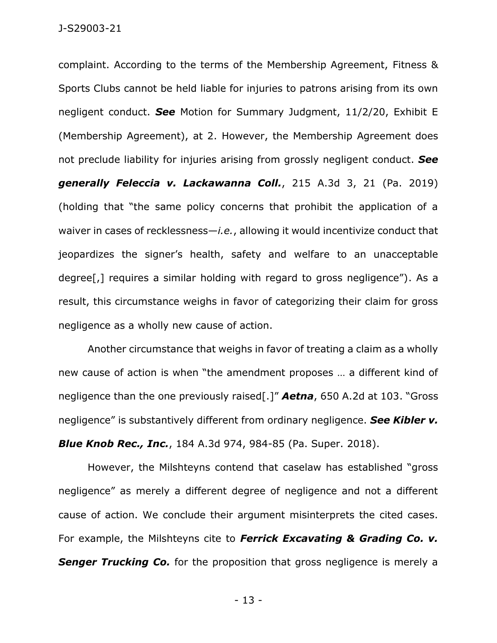complaint. According to the terms of the Membership Agreement, Fitness & Sports Clubs cannot be held liable for injuries to patrons arising from its own negligent conduct. *See* Motion for Summary Judgment, 11/2/20, Exhibit E (Membership Agreement), at 2. However, the Membership Agreement does not preclude liability for injuries arising from grossly negligent conduct. *See generally Feleccia v. Lackawanna Coll.*, 215 A.3d 3, 21 (Pa. 2019) (holding that "the same policy concerns that prohibit the application of a waiver in cases of recklessness—*i.e.*, allowing it would incentivize conduct that jeopardizes the signer's health, safety and welfare to an unacceptable degree[,] requires a similar holding with regard to gross negligence"). As a result, this circumstance weighs in favor of categorizing their claim for gross negligence as a wholly new cause of action.

Another circumstance that weighs in favor of treating a claim as a wholly new cause of action is when "the amendment proposes … a different kind of negligence than the one previously raised[.]" *Aetna*, 650 A.2d at 103. "Gross negligence" is substantively different from ordinary negligence. *See Kibler v. Blue Knob Rec., Inc.*, 184 A.3d 974, 984-85 (Pa. Super. 2018).

However, the Milshteyns contend that caselaw has established "gross negligence" as merely a different degree of negligence and not a different cause of action. We conclude their argument misinterprets the cited cases. For example, the Milshteyns cite to *Ferrick Excavating & Grading Co. v.*  **Senger Trucking Co.** for the proposition that gross negligence is merely a

- 13 -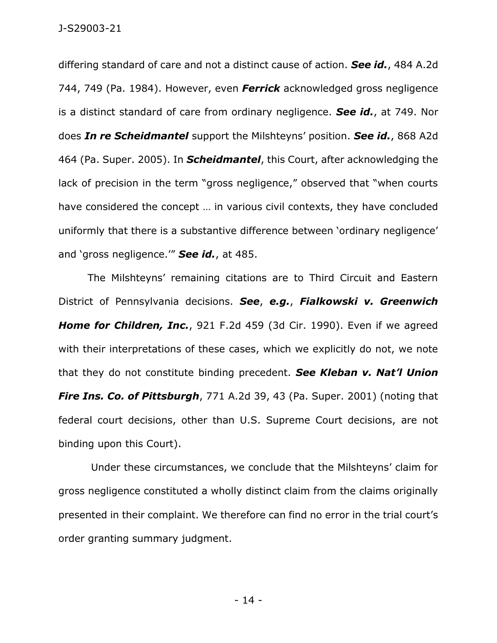differing standard of care and not a distinct cause of action. *See id.*, 484 A.2d 744, 749 (Pa. 1984). However, even *Ferrick* acknowledged gross negligence is a distinct standard of care from ordinary negligence. *See id.*, at 749. Nor does *In re Scheidmantel* support the Milshteyns' position. *See id.*, 868 A2d 464 (Pa. Super. 2005). In *Scheidmantel*, this Court, after acknowledging the lack of precision in the term "gross negligence," observed that "when courts have considered the concept … in various civil contexts, they have concluded uniformly that there is a substantive difference between 'ordinary negligence' and 'gross negligence.'" *See id.*, at 485.

The Milshteyns' remaining citations are to Third Circuit and Eastern District of Pennsylvania decisions. *See*, *e.g.*, *Fialkowski v. Greenwich Home for Children, Inc.*, 921 F.2d 459 (3d Cir. 1990). Even if we agreed with their interpretations of these cases, which we explicitly do not, we note that they do not constitute binding precedent. *See Kleban v. Nat'l Union Fire Ins. Co. of Pittsburgh*, 771 A.2d 39, 43 (Pa. Super. 2001) (noting that federal court decisions, other than U.S. Supreme Court decisions, are not binding upon this Court).

Under these circumstances, we conclude that the Milshteyns' claim for gross negligence constituted a wholly distinct claim from the claims originally presented in their complaint. We therefore can find no error in the trial court's order granting summary judgment.